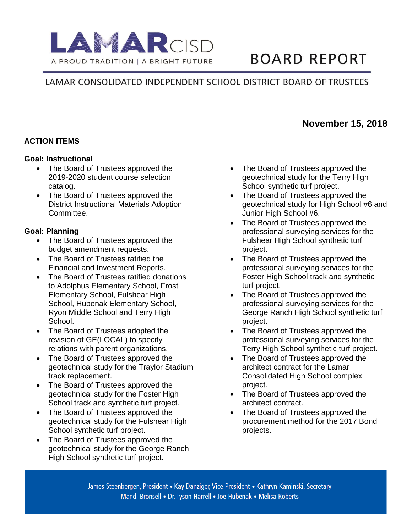

# **BOARD REPORT**

**November 15, 2018**

# LAMAR CONSOLIDATED INDEPENDENT SCHOOL DISTRICT BOARD OF TRUSTEES

## **ACTION ITEMS**

#### **Goal: Instructional**

- The Board of Trustees approved the 2019-2020 student course selection catalog.
- The Board of Trustees approved the District Instructional Materials Adoption Committee.

#### **Goal: Planning**

- The Board of Trustees approved the budget amendment requests.
- The Board of Trustees ratified the Financial and Investment Reports.
- The Board of Trustees ratified donations to Adolphus Elementary School, Frost Elementary School, Fulshear High School, Hubenak Elementary School, Ryon Middle School and Terry High School.
- The Board of Trustees adopted the revision of GE(LOCAL) to specify relations with parent organizations.
- The Board of Trustees approved the geotechnical study for the Traylor Stadium track replacement.
- The Board of Trustees approved the geotechnical study for the Foster High School track and synthetic turf project.
- The Board of Trustees approved the geotechnical study for the Fulshear High School synthetic turf project.
- The Board of Trustees approved the geotechnical study for the George Ranch High School synthetic turf project.
- The Board of Trustees approved the geotechnical study for the Terry High School synthetic turf project.
- The Board of Trustees approved the geotechnical study for High School #6 and Junior High School #6.
- The Board of Trustees approved the professional surveying services for the Fulshear High School synthetic turf project.
- The Board of Trustees approved the professional surveying services for the Foster High School track and synthetic turf project.
- The Board of Trustees approved the professional surveying services for the George Ranch High School synthetic turf project.
- The Board of Trustees approved the professional surveying services for the Terry High School synthetic turf project.
- The Board of Trustees approved the architect contract for the Lamar Consolidated High School complex project.
- The Board of Trustees approved the architect contract.
- The Board of Trustees approved the procurement method for the 2017 Bond projects.

James Steenbergen, President • Kay Danziger, Vice President • Kathryn Kaminski, Secretary Mandi Bronsell • Dr. Tyson Harrell • Joe Hubenak • Melisa Roberts